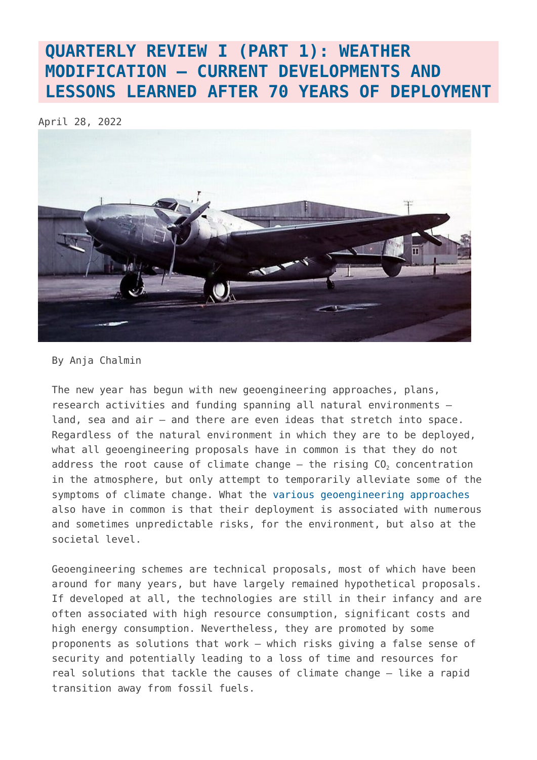## **[QUARTERLY REVIEW I \(PART 1\): WEATHER](https://www.geoengineeringmonitor.org/2022/04/quarterly-review-i-part-1-weather-modification-current-developments-and-lessons-learned-after-70-years-of-deployment/) [MODIFICATION – CURRENT DEVELOPMENTS AND](https://www.geoengineeringmonitor.org/2022/04/quarterly-review-i-part-1-weather-modification-current-developments-and-lessons-learned-after-70-years-of-deployment/) [LESSONS LEARNED AFTER 70 YEARS OF DEPLOYMENT](https://www.geoengineeringmonitor.org/2022/04/quarterly-review-i-part-1-weather-modification-current-developments-and-lessons-learned-after-70-years-of-deployment/)**

April 28, 2022



By Anja Chalmin

The new year has begun with new geoengineering approaches, plans, research activities and funding spanning all natural environments – land, sea and air – and there are even ideas that stretch into space. Regardless of the natural environment in which they are to be deployed, what all geoengineering proposals have in common is that they do not address the root cause of climate change  $-$  the rising  $CO<sub>2</sub>$  concentration in the atmosphere, but only attempt to temporarily alleviate some of the symptoms of climate change. What the [various geoengineering approaches](https://www.geoengineeringmonitor.org/technologies/) also have in common is that their deployment is associated with numerous and sometimes unpredictable risks, for the environment, but also at the societal level.

Geoengineering schemes are technical proposals, most of which have been around for many years, but have largely remained hypothetical proposals. If developed at all, the technologies are still in their infancy and are often associated with high resource consumption, significant costs and high energy consumption. Nevertheless, they are promoted by some proponents as solutions that work – which risks giving a false sense of security and potentially leading to a loss of time and resources for real solutions that tackle the causes of climate change – like a rapid transition away from fossil fuels.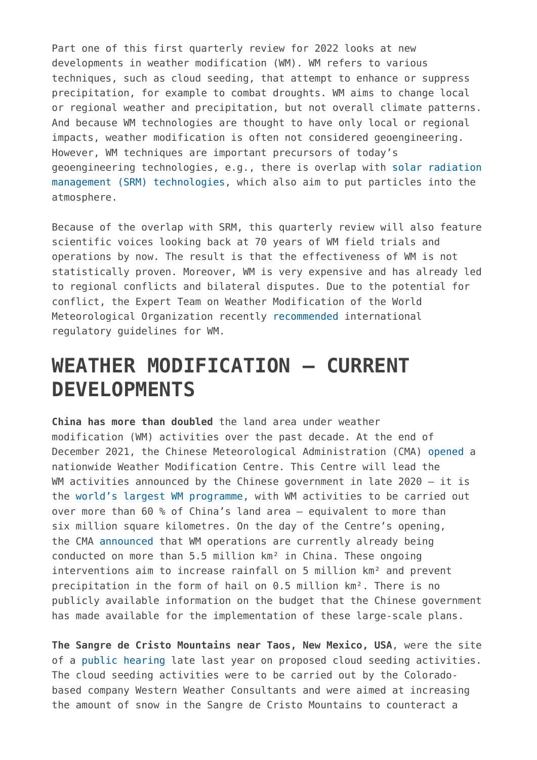Part one of this first quarterly review for 2022 looks at new developments in weather modification (WM). WM refers to various techniques, such as cloud seeding, that attempt to enhance or suppress precipitation, for example to combat droughts. WM aims to change local or regional weather and precipitation, but not overall climate patterns. And because WM technologies are thought to have only local or regional impacts, weather modification is often not considered geoengineering. However, WM techniques are important precursors of today's geoengineering technologies, e.g., there is overlap with [solar radiation](https://www.geoengineeringmonitor.org/what-is-geoengineering/) [management \(SRM\) technologies,](https://www.geoengineeringmonitor.org/what-is-geoengineering/) which also aim to put particles into the atmosphere.

Because of the overlap with SRM, this quarterly review will also feature scientific voices looking back at 70 years of WM field trials and operations by now. The result is that the effectiveness of WM is not statistically proven. Moreover, WM is very expensive and has already led to regional conflicts and bilateral disputes. Due to the potential for conflict, the Expert Team on Weather Modification of the World Meteorological Organization recently [recommended](https://wired.me/science/environment/cloud-seeding-uae-dubai-rain-floods/) international regulatory guidelines for WM.

## **WEATHER MODIFICATION – CURRENT DEVELOPMENTS**

**China has more than doubled** the land area under weather modification (WM) activities over the past decade. At the end of December 2021, the Chinese Meteorological Administration (CMA) [opened](http://www.cma.gov.cn/2011xwzx/2011xqxxw/2011xqxyw/202112/t20211221_589354.html) a nationwide Weather Modification Centre. This Centre will lead the WM activities announced by the Chinese government in late  $2020 - it$  is the [world's largest WM programme](https://map.geoengineeringmonitor.org/wm/large-scale-weather-modification-in-china), with WM activities to be carried out over more than 60 % of China's land area – equivalent to more than six million square kilometres. On the day of the Centre's opening, the CMA [announced](http://www.cma.gov.cn/2011xwzx/2011xqxxw/2011xqxyw/202112/t20211222_589357.html) that WM operations are currently already being conducted on more than 5.5 million km² in China. These ongoing interventions aim to increase rainfall on 5 million km<sup>2</sup> and prevent precipitation in the form of hail on 0.5 million km². There is no publicly available information on the budget that the Chinese government has made available for the implementation of these large-scale plans.

**The Sangre de Cristo Mountains near Taos, New Mexico, USA**, were the site of a [public hearing](https://www.reuters.com/business/cop/despite-drought-new-mexico-project-seed-clouds-scrapped-2021-11-26/) late last year on proposed cloud seeding activities. The cloud seeding activities were to be carried out by the Coloradobased company Western Weather Consultants and were aimed at increasing the amount of snow in the Sangre de Cristo Mountains to counteract a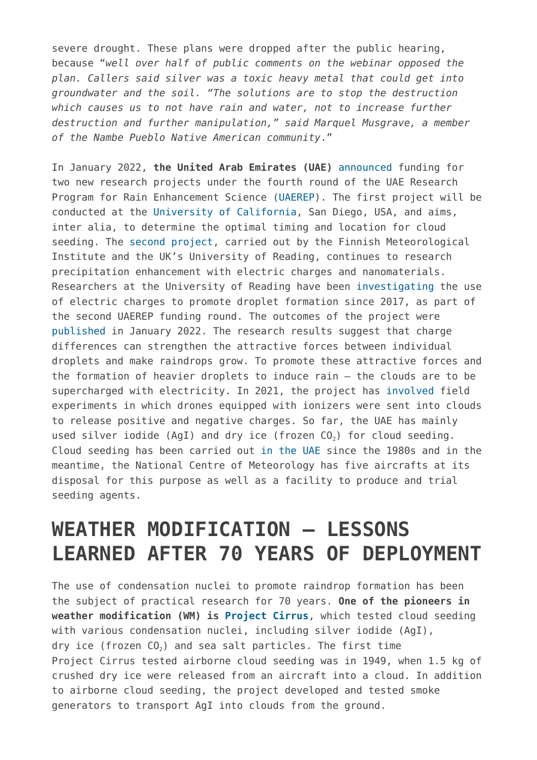severe drought. These plans were dropped after the public hearing, because "*well over half of public comments on the webinar opposed the plan. Callers said silver was a toxic heavy metal that could get into groundwater and the soil. "The solutions are to stop the destruction which causes us to not have rain and water, not to increase further destruction and further manipulation," said Marquel Musgrave, a member of the Nambe Pueblo Native American community*."

In January 2022, **the United Arab Emirates (UAE)** [announced](https://www.uaerep.ae/en/media-press/693/20) funding for two new research projects under the fourth round of the UAE Research Program for Rain Enhancement Science [\(UAEREP\)](https://map.geoengineeringmonitor.org/other/uae-research-for-rain-enhancement-(uaerep)). The first project will be conducted at the [University of California](https://www.uaerep.ae/en/app/page/651), San Diego, USA, and aims, inter alia, to determine the optimal timing and location for cloud seeding. The [second project](https://www.uaerep.ae/en/app/page/650), carried out by the Finnish Meteorological Institute and the UK's University of Reading, continues to research precipitation enhancement with electric charges and nanomaterials. Researchers at the University of Reading have been [investigating](https://www.uaerep.ae/en/app/page/570) the use of electric charges to promote droplet formation since 2017, as part of the second UAEREP funding round. The outcomes of the project were [published](https://royalsocietypublishing.org/doi/10.1098/rspa.2021.0714) in January 2022. The research results suggest that charge differences can strengthen the attractive forces between individual droplets and make raindrops grow. To promote these attractive forces and the formation of heavier droplets to induce rain – the clouds are to be supercharged with electricity. In 2021, the project has [involved](https://www.theguardian.com./news/2022/feb/08/have-we-finally-found-the-recipe-for-making-rain) field experiments in which drones equipped with ionizers were sent into clouds to release positive and negative charges. So far, the UAE has mainly used silver iodide (AgI) and dry ice (frozen  $CO<sub>2</sub>$ ) for cloud seeding. Cloud seeding has been carried out [in the UAE](https://map.geoengineeringmonitor.org/wm/uae-rain-enhancement-activities) since the 1980s and in the meantime, the National Centre of Meteorology has five aircrafts at its disposal for this purpose as well as a facility to produce and trial seeding agents.

## **WEATHER MODIFICATION – LESSONS LEARNED AFTER 70 YEARS OF DEPLOYMENT**

The use of condensation nuclei to promote raindrop formation has been the subject of practical research for 70 years. **One of the pioneers in weather modification (WM) is [Project Cirrus](https://map.geoengineeringmonitor.org/other/project-cirrus)**, which tested cloud seeding with various condensation nuclei, including silver iodide (AgI), dry ice (frozen  $CO<sub>2</sub>$ ) and sea salt particles. The first time Project Cirrus tested airborne cloud seeding was in 1949, when 1.5 kg of crushed dry ice were released from an aircraft into a cloud. In addition to airborne cloud seeding, the project developed and tested smoke generators to transport AgI into clouds from the ground.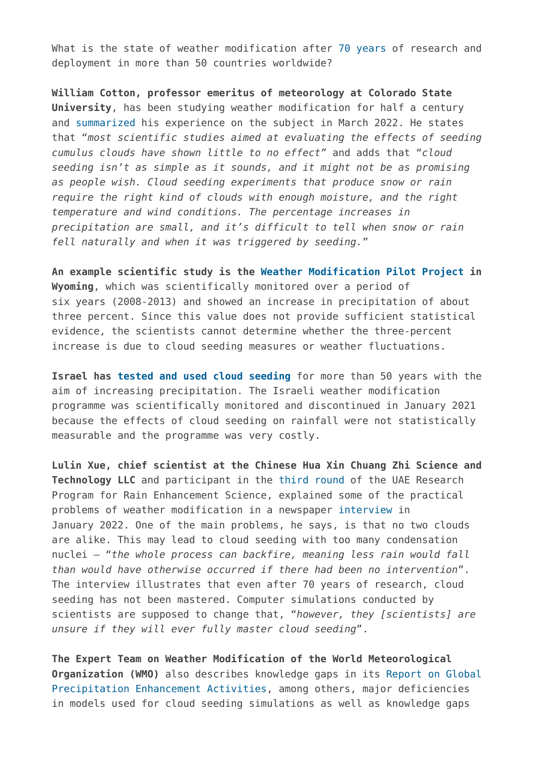What is the state of weather modification after [70 years](https://public.wmo.int/en/resources/bulletin/seeding-change-weather-modification-globally) of research and deployment in more than 50 countries worldwide?

**William Cotton, professor emeritus of meteorology at Colorado State University**, has been studying weather modification for half a century and [summarized](https://theconversation.com/cloud-seeding-might-not-be-as-promising-as-drought-troubled-states-hope-177233) his experience on the subject in March 2022. He states that "*most scientific studies aimed at evaluating the effects of seeding cumulus clouds have shown little to no effect"* and adds that "*cloud seeding isn't as simple as it sounds, and it might not be as promising as people wish. Cloud seeding experiments that produce snow or rain require the right kind of clouds with enough moisture, and the right temperature and wind conditions. The percentage increases in precipitation are small, and it's difficult to tell when snow or rain fell naturally and when it was triggered by seeding.*"

**An example scientific study is the [Weather Modification Pilot Project](https://journals.ametsoc.org/view/journals/apme/57/11/jamc-d-17-0335.1.xml) in Wyoming**, which was scientifically monitored over a period of six years (2008-2013) and showed an increase in precipitation of about three percent. Since this value does not provide sufficient statistical evidence, the scientists cannot determine whether the three-percent increase is due to cloud seeding measures or weather fluctuations.

**Israel has [tested and used cloud seeding](https://map.geoengineeringmonitor.org/wm/israel-rain-enhancement-project)** for more than 50 years with the aim of increasing precipitation. The Israeli weather modification programme was scientifically monitored and discontinued in January 2021 because the effects of cloud seeding on rainfall were not statistically measurable and the programme was very costly.

**Lulin Xue, chief scientist at the Chinese Hua Xin Chuang Zhi Science and Technology LLC** and participant in the [third round](https://www.uaerep.ae/en/app/page/582) of the UAE Research Program for Rain Enhancement Science, explained some of the practical problems of weather modification in a newspaper [interview](https://www.thenationalnews.com/uae/environment/2022/01/04/cloud-seeding-in-dubai-abu-dhabi-and-rest-of-uae-how-does-it-work/) in January 2022. One of the main problems, he says, is that no two clouds are alike. This may lead to cloud seeding with too many condensation nuclei – "*the whole process can backfire, meaning less rain would fall than would have otherwise occurred if there had been no intervention*". The interview illustrates that even after 70 years of research, cloud seeding has not been mastered. Computer simulations conducted by scientists are supposed to change that, "*however, they [scientists] are unsure if they will ever fully master cloud seeding*".

**The Expert Team on Weather Modification of the World Meteorological Organization (WMO)** also describes knowledge gaps in its [Report on Global](https://library.wmo.int/doc_num.php?explnum_id=9945) [Precipitation Enhancement Activities,](https://library.wmo.int/doc_num.php?explnum_id=9945) among others, major deficiencies in models used for cloud seeding simulations as well as knowledge gaps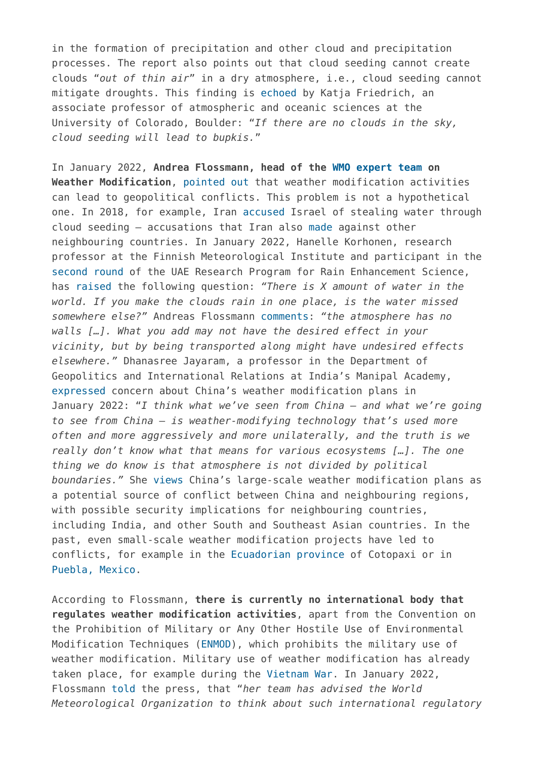in the formation of precipitation and other cloud and precipitation processes. The report also points out that cloud seeding cannot create clouds "*out of thin air*" in a dry atmosphere, i.e., cloud seeding cannot mitigate droughts. This finding is [echoed](https://www.thedailybeast.com/cloud-seeding-technology-that-triggers-rainfall-is-could-be-a-big-solution-to-fixing-future-droughts) by Katja Friedrich, an associate professor of atmospheric and oceanic sciences at the University of Colorado, Boulder: "*If there are no clouds in the sky, cloud seeding will lead to bupkis.*"

In January 2022, **Andrea Flossmann, head of the [WMO](https://community.wmo.int/activity-areas/wwrp/wwrp-working-groups/wwrp-expert-team-weather-modification) [expert team](https://community.wmo.int/activity-areas/wwrp/wwrp-working-groups/wwrp-expert-team-weather-modification) on Weather Modification**, [pointed out](https://wired.me/science/environment/cloud-seeding-uae-dubai-rain-floods/) that weather modification activities can lead to geopolitical conflicts. This problem is not a hypothetical one. In 2018, for example, Iran [accused](https://www.chathamhouse.org/2022/02/geoengineering-reining-weather-warriors) Israel of stealing water through cloud seeding – accusations that Iran also [made](https://unitedworldint.com/172-drought-lands/) against other neighbouring countries. In January 2022, Hanelle Korhonen, research professor at the Finnish Meteorological Institute and participant in the [second round](https://www.uaerep.ae/en/app/page/560) of the UAE Research Program for Rain Enhancement Science, has [raised](https://www.washingtonpost.com/sports/olympics/2022/01/24/olympics-china-weather-control/) the following question: *"There is X amount of water in the world. If you make the clouds rain in one place, is the water missed somewhere else?"* Andreas Flossmann [comments](https://public.wmo.int/en/resources/bulletin/seeding-change-weather-modification-globally): *"the atmosphere has no walls […]. What you add may not have the desired effect in your vicinity, but by being transported along might have undesired effects elsewhere."* Dhanasree Jayaram, a professor in the Department of Geopolitics and International Relations at India's Manipal Academy, [expressed](https://www.washingtonpost.com/sports/olympics/2022/01/24/olympics-china-weather-control/) concern about China's weather modification plans in January 2022: "*I think what we've seen from China – and what we're going to see from China – is weather-modifying technology that's used more often and more aggressively and more unilaterally, and the truth is we really don't know what that means for various ecosystems […]. The one thing we do know is that atmosphere is not divided by political boundaries."* She [views](https://www.wilsoncenter.org/article/without-attention-geoengineering-could-upend-foreign-policy) China's large-scale weather modification plans as a potential source of conflict between China and neighbouring regions, with possible security implications for neighbouring countries, including India, and other South and Southeast Asian countries. In the past, even small-scale weather modification projects have led to conflicts, for example in the [Ecuadorian province](https://map.geoengineeringmonitor.org/wm/cotopaxi-) of Cotopaxi or in [Puebla, Mexico](https://map.geoengineeringmonitor.org/wm/volkswagen-hail-cannons).

According to Flossmann, **there is currently no international body that regulates weather modification activities**, apart from the Convention on the Prohibition of Military or Any Other Hostile Use of Environmental Modification Techniques [\(ENMOD](https://www.un.org/disarmament/enmod/)), which prohibits the military use of weather modification. Military use of weather modification has already taken place, for example during the [Vietnam War.](https://map.geoengineeringmonitor.org/wm/popeye-project-(operation-popeye)) In January 2022, Flossmann [told](https://wired.me/science/environment/cloud-seeding-uae-dubai-rain-floods/) the press, that "*her team has advised the World Meteorological Organization to think about such international regulatory*